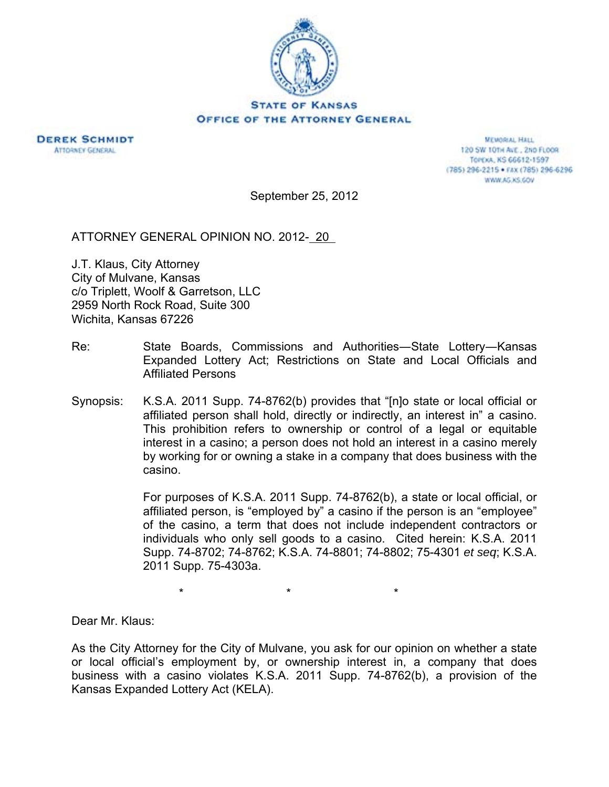



**MEMORIAL HALL** 120 SW 101H ALE., 2ND FLOOR TOPEKA, KS 66612-1597 (785) 296-2215 · FAX (785) 296-6296 WWW.AG.KS.GOV

September 25, 2012

ATTORNEY GENERAL OPINION NO. 2012- 20

J.T. Klaus, City Attorney City of Mulvane, Kansas c/o Triplett, Woolf & Garretson, LLC 2959 North Rock Road, Suite 300 Wichita, Kansas 67226

- Re: State Boards, Commissions and Authorities―State Lottery―Kansas Expanded Lottery Act; Restrictions on State and Local Officials and Affiliated Persons
- Synopsis: K.S.A. 2011 Supp. 74-8762(b) provides that "[n]o state or local official or affiliated person shall hold, directly or indirectly, an interest in" a casino. This prohibition refers to ownership or control of a legal or equitable interest in a casino; a person does not hold an interest in a casino merely by working for or owning a stake in a company that does business with the casino.

For purposes of K.S.A. 2011 Supp. 74-8762(b), a state or local official, or affiliated person, is "employed by" a casino if the person is an "employee" of the casino, a term that does not include independent contractors or individuals who only sell goods to a casino. Cited herein: K.S.A. 2011 Supp. 74-8702; 74-8762; K.S.A. 74-8801; 74-8802; 75-4301 *et seq*; K.S.A. 2011 Supp. 75-4303a.

 $\star$   $\star$   $\star$ 

Dear Mr. Klaus:

As the City Attorney for the City of Mulvane, you ask for our opinion on whether a state or local official's employment by, or ownership interest in, a company that does business with a casino violates K.S.A. 2011 Supp. 74-8762(b), a provision of the Kansas Expanded Lottery Act (KELA).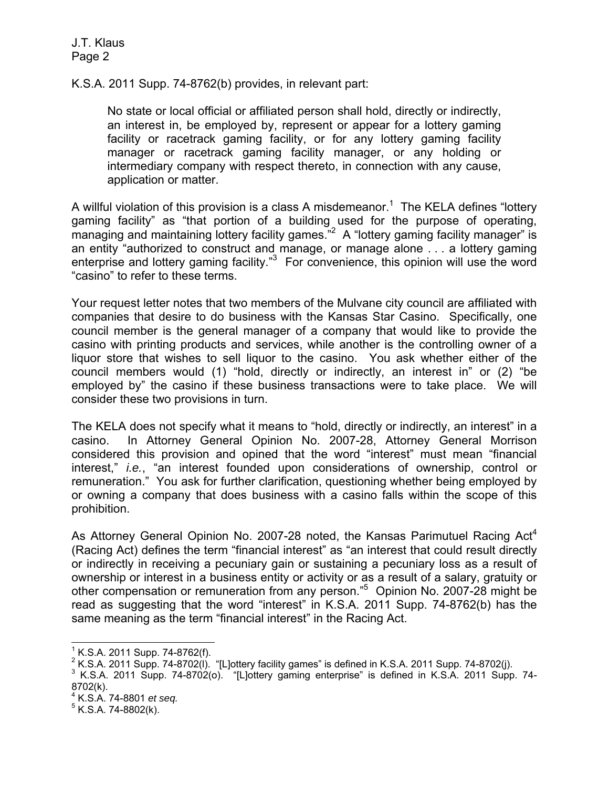K.S.A. 2011 Supp. 74-8762(b) provides, in relevant part:

No state or local official or affiliated person shall hold, directly or indirectly, an interest in, be employed by, represent or appear for a lottery gaming facility or racetrack gaming facility, or for any lottery gaming facility manager or racetrack gaming facility manager, or any holding or intermediary company with respect thereto, in connection with any cause, application or matter.

A willful violation of this provision is a class A misdemeanor.<sup>1</sup> The KELA defines "lottery gaming facility" as "that portion of a building used for the purpose of operating, managing and maintaining lottery facility games."<sup>2</sup> A "lottery gaming facility manager" is an entity "authorized to construct and manage, or manage alone . . . a lottery gaming enterprise and lottery gaming facility."<sup>3</sup> For convenience, this opinion will use the word "casino" to refer to these terms.

Your request letter notes that two members of the Mulvane city council are affiliated with companies that desire to do business with the Kansas Star Casino. Specifically, one council member is the general manager of a company that would like to provide the casino with printing products and services, while another is the controlling owner of a liquor store that wishes to sell liquor to the casino. You ask whether either of the council members would (1) "hold, directly or indirectly, an interest in" or (2) "be employed by" the casino if these business transactions were to take place. We will consider these two provisions in turn.

The KELA does not specify what it means to "hold, directly or indirectly, an interest" in a casino. In Attorney General Opinion No. 2007-28, Attorney General Morrison considered this provision and opined that the word "interest" must mean "financial interest," *i.e.*, "an interest founded upon considerations of ownership, control or remuneration." You ask for further clarification, questioning whether being employed by or owning a company that does business with a casino falls within the scope of this prohibition.

As Attorney General Opinion No. 2007-28 noted, the Kansas Parimutuel Racing Act<sup>4</sup> (Racing Act) defines the term "financial interest" as "an interest that could result directly or indirectly in receiving a pecuniary gain or sustaining a pecuniary loss as a result of ownership or interest in a business entity or activity or as a result of a salary, gratuity or other compensation or remuneration from any person."<sup>5</sup> Opinion No. 2007-28 might be read as suggesting that the word "interest" in K.S.A. 2011 Supp. 74-8762(b) has the same meaning as the term "financial interest" in the Racing Act.

l

 $1$  K.S.A. 2011 Supp. 74-8762(f).

<sup>&</sup>lt;sup>2</sup> K.S.A. 2011 Supp. 74-8702(I). "[L]ottery facility games" is defined in K.S.A. 2011 Supp. 74-8702(j).<br><sup>3</sup> K.S.A. 2011 Supp. 74.8702(c). "Il lettery gaming apternises" is defined in K.S.A. 2011 Supp.

 $3$  K.S.A. 2011 Supp. 74-8702(o). "[L]ottery gaming enterprise" is defined in K.S.A. 2011 Supp. 74-8702(k).

<sup>&</sup>lt;sup>4</sup> K.S.A. 74-8801 *et seq.*<br><sup>5</sup> K.S.A. 74,9803(k)

 $5$  K.S.A. 74-8802(k).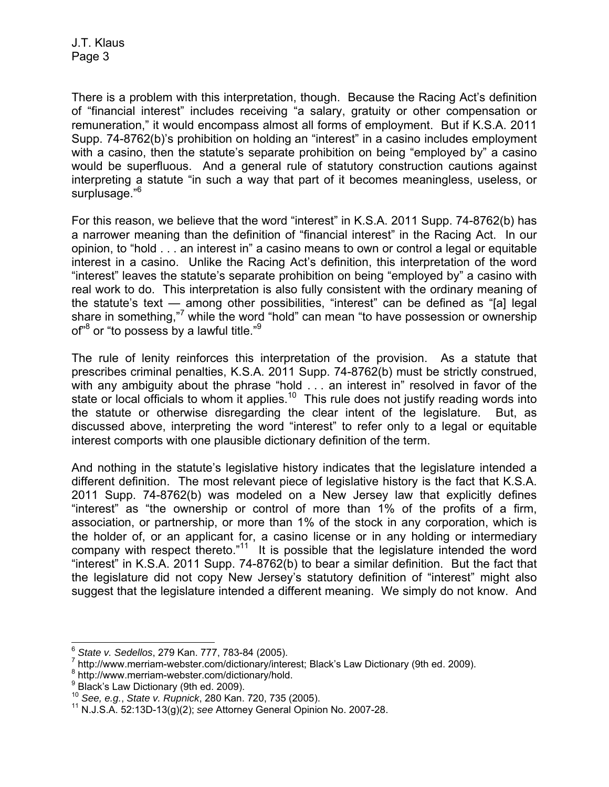There is a problem with this interpretation, though. Because the Racing Act's definition of "financial interest" includes receiving "a salary, gratuity or other compensation or remuneration," it would encompass almost all forms of employment. But if K.S.A. 2011 Supp. 74-8762(b)'s prohibition on holding an "interest" in a casino includes employment with a casino, then the statute's separate prohibition on being "employed by" a casino would be superfluous. And a general rule of statutory construction cautions against interpreting a statute "in such a way that part of it becomes meaningless, useless, or surplusage."<sup>6</sup>

For this reason, we believe that the word "interest" in K.S.A. 2011 Supp. 74-8762(b) has a narrower meaning than the definition of "financial interest" in the Racing Act. In our opinion, to "hold . . . an interest in" a casino means to own or control a legal or equitable interest in a casino. Unlike the Racing Act's definition, this interpretation of the word "interest" leaves the statute's separate prohibition on being "employed by" a casino with real work to do. This interpretation is also fully consistent with the ordinary meaning of the statute's text — among other possibilities, "interest" can be defined as "[a] legal share in something,"<sup>7</sup> while the word "hold" can mean "to have possession or ownership of<sup>"8</sup> or "to possess by a lawful title."<sup>9</sup>

The rule of lenity reinforces this interpretation of the provision. As a statute that prescribes criminal penalties, K.S.A. 2011 Supp. 74-8762(b) must be strictly construed, with any ambiguity about the phrase "hold . . . an interest in" resolved in favor of the state or local officials to whom it applies.<sup>10</sup> This rule does not justify reading words into the statute or otherwise disregarding the clear intent of the legislature. But, as discussed above, interpreting the word "interest" to refer only to a legal or equitable interest comports with one plausible dictionary definition of the term.

And nothing in the statute's legislative history indicates that the legislature intended a different definition. The most relevant piece of legislative history is the fact that K.S.A. 2011 Supp. 74-8762(b) was modeled on a New Jersey law that explicitly defines "interest" as "the ownership or control of more than 1% of the profits of a firm, association, or partnership, or more than 1% of the stock in any corporation, which is the holder of, or an applicant for, a casino license or in any holding or intermediary company with respect thereto."<sup>11</sup> It is possible that the legislature intended the word "interest" in K.S.A. 2011 Supp. 74-8762(b) to bear a similar definition. But the fact that the legislature did not copy New Jersey's statutory definition of "interest" might also suggest that the legislature intended a different meaning. We simply do not know. And

l <sup>6</sup> S*tate v. Sedellos,* 279 Kan. 777, 783-84 (2005).<br><sup>7</sup> http://www.morriam.yrobater.com/digtionary/inter

http://www.merriam-webster.com/dictionary/interest; Black's Law Dictionary (9th ed. 2009).

<sup>&</sup>lt;sup>8</sup> http://www.merriam-webster.com/dictionary/hold.

<sup>&</sup>lt;sup>9</sup> Black's Law Dictionary (9th ed. 2009).

<sup>10</sup> *See, e.g.*, *State v. Rupnick*, 280 Kan. 720, 735 (2005). 11 N.J.S.A. 52:13D-13(g)(2); *see* Attorney General Opinion No. 2007-28.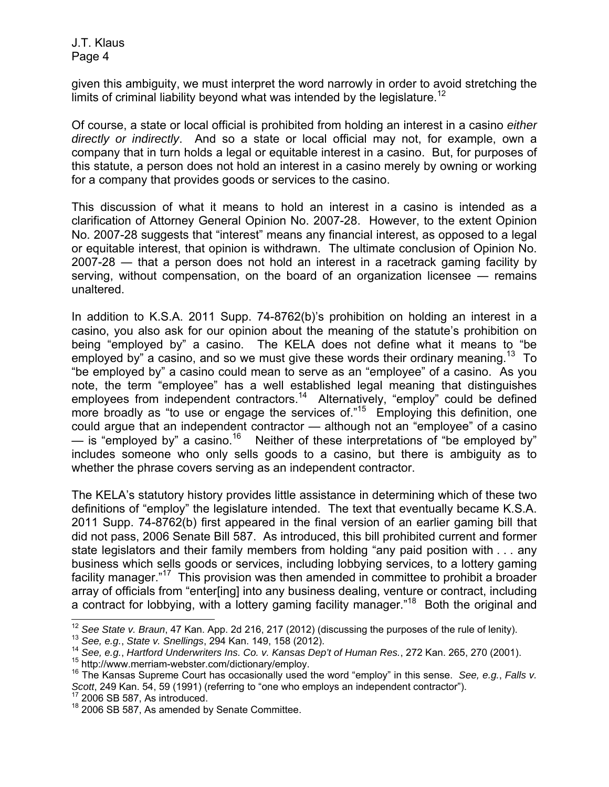given this ambiguity, we must interpret the word narrowly in order to avoid stretching the limits of criminal liability beyond what was intended by the legislature.<sup>12</sup>

Of course, a state or local official is prohibited from holding an interest in a casino *either directly or indirectly*. And so a state or local official may not, for example, own a company that in turn holds a legal or equitable interest in a casino. But, for purposes of this statute, a person does not hold an interest in a casino merely by owning or working for a company that provides goods or services to the casino.

This discussion of what it means to hold an interest in a casino is intended as a clarification of Attorney General Opinion No. 2007-28. However, to the extent Opinion No. 2007-28 suggests that "interest" means any financial interest, as opposed to a legal or equitable interest, that opinion is withdrawn. The ultimate conclusion of Opinion No. 2007-28 ― that a person does not hold an interest in a racetrack gaming facility by serving, without compensation, on the board of an organization licensee — remains unaltered.

In addition to K.S.A. 2011 Supp. 74-8762(b)'s prohibition on holding an interest in a casino, you also ask for our opinion about the meaning of the statute's prohibition on being "employed by" a casino. The KELA does not define what it means to "be employed by" a casino, and so we must give these words their ordinary meaning.<sup>13</sup> To "be employed by" a casino could mean to serve as an "employee" of a casino. As you note, the term "employee" has a well established legal meaning that distinguishes employees from independent contractors.<sup>14</sup> Alternatively, "employ" could be defined more broadly as "to use or engage the services of."<sup>15</sup> Employing this definition, one could argue that an independent contractor — although not an "employee" of a casino — is "employed by" a casino.<sup>16</sup> Neither of these interpretations of "be employed by" includes someone who only sells goods to a casino, but there is ambiguity as to whether the phrase covers serving as an independent contractor.

The KELA's statutory history provides little assistance in determining which of these two definitions of "employ" the legislature intended. The text that eventually became K.S.A. 2011 Supp. 74-8762(b) first appeared in the final version of an earlier gaming bill that did not pass, 2006 Senate Bill 587. As introduced, this bill prohibited current and former state legislators and their family members from holding "any paid position with . . . any business which sells goods or services, including lobbying services, to a lottery gaming facility manager."17 This provision was then amended in committee to prohibit a broader array of officials from "enter[ing] into any business dealing, venture or contract, including a contract for lobbying, with a lottery gaming facility manager."<sup>18</sup> Both the original and

 $\overline{a}$ 

<sup>&</sup>lt;sup>12</sup> See State v. Braun, 47 Kan. App. 2d 216, 217 (2012) (discussing the purposes of the rule of lenity).<br><sup>13</sup> See, e.g., State v. Snellings, 294 Kan. 149, 158 (2012).<br><sup>14</sup> See, e.g., Hartford Underwriters Ins. Co. v. Kan

*Scott*, 249 Kan. 54, 59 (1991) (referring to "one who employs an independent contractor"). 17 2006 SB 587, As introduced.

<sup>&</sup>lt;sup>18</sup> 2006 SB 587, As amended by Senate Committee.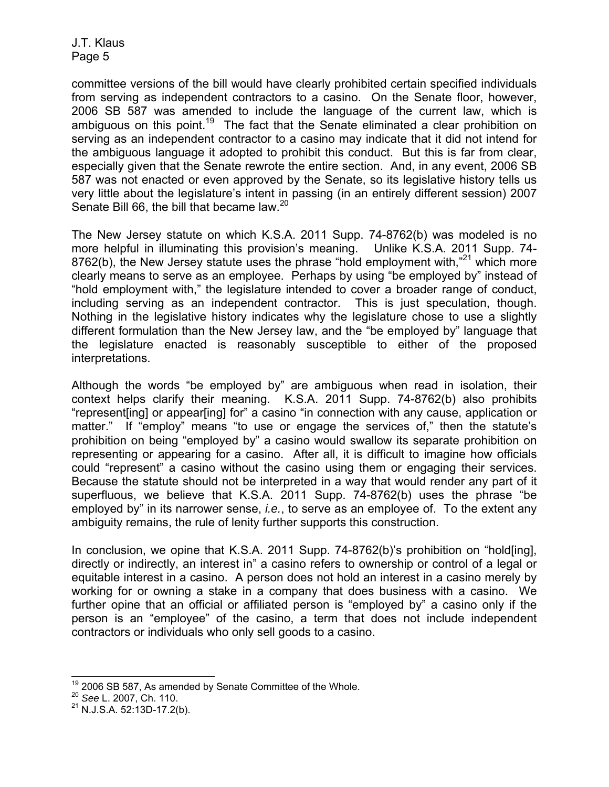committee versions of the bill would have clearly prohibited certain specified individuals from serving as independent contractors to a casino. On the Senate floor, however, 2006 SB 587 was amended to include the language of the current law, which is ambiguous on this point.<sup>19</sup> The fact that the Senate eliminated a clear prohibition on serving as an independent contractor to a casino may indicate that it did not intend for the ambiguous language it adopted to prohibit this conduct. But this is far from clear, especially given that the Senate rewrote the entire section. And, in any event, 2006 SB 587 was not enacted or even approved by the Senate, so its legislative history tells us very little about the legislature's intent in passing (in an entirely different session) 2007 Senate Bill 66, the bill that became law.<sup>20</sup>

The New Jersey statute on which K.S.A. 2011 Supp. 74-8762(b) was modeled is no more helpful in illuminating this provision's meaning. Unlike K.S.A. 2011 Supp. 74- 8762(b), the New Jersey statute uses the phrase "hold employment with,"<sup>21</sup> which more clearly means to serve as an employee. Perhaps by using "be employed by" instead of "hold employment with," the legislature intended to cover a broader range of conduct, including serving as an independent contractor. This is just speculation, though. Nothing in the legislative history indicates why the legislature chose to use a slightly different formulation than the New Jersey law, and the "be employed by" language that the legislature enacted is reasonably susceptible to either of the proposed interpretations.

Although the words "be employed by" are ambiguous when read in isolation, their context helps clarify their meaning. K.S.A. 2011 Supp. 74-8762(b) also prohibits "represent[ing] or appear[ing] for" a casino "in connection with any cause, application or matter." If "employ" means "to use or engage the services of," then the statute's prohibition on being "employed by" a casino would swallow its separate prohibition on representing or appearing for a casino. After all, it is difficult to imagine how officials could "represent" a casino without the casino using them or engaging their services. Because the statute should not be interpreted in a way that would render any part of it superfluous, we believe that K.S.A. 2011 Supp. 74-8762(b) uses the phrase "be employed by" in its narrower sense, *i.e.*, to serve as an employee of. To the extent any ambiguity remains, the rule of lenity further supports this construction.

In conclusion, we opine that K.S.A. 2011 Supp. 74-8762(b)'s prohibition on "hold[ing], directly or indirectly, an interest in" a casino refers to ownership or control of a legal or equitable interest in a casino. A person does not hold an interest in a casino merely by working for or owning a stake in a company that does business with a casino. We further opine that an official or affiliated person is "employed by" a casino only if the person is an "employee" of the casino, a term that does not include independent contractors or individuals who only sell goods to a casino.

l 19 2006 SB 587, As amended by Senate Committee of the Whole. 20 *See* L. 2007, Ch. 110.

<sup>20</sup> See L. 2007, Ch. 110.<br>
<sup>21</sup> N.J.S.A. 52:13D-17.2(b).